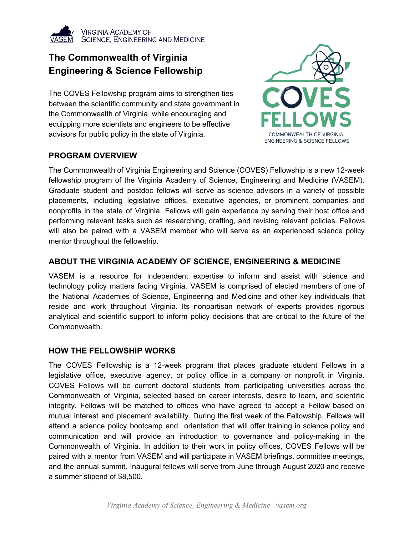

## **The Commonwealth of Virginia Engineering & Science Fellowship**

The COVES Fellowship program aims to strengthen ties between the scientific community and state government in the Commonwealth of Virginia, while encouraging and equipping more scientists and engineers to be effective advisors for public policy in the state of Virginia.

### **PROGRAM OVERVIEW**



The Commonwealth of Virginia Engineering and Science (COVES) Fellowship is a new 12-week fellowship program of the Virginia Academy of Science, Engineering and Medicine (VASEM). Graduate student and postdoc fellows will serve as science advisors in a variety of possible placements, including legislative offices, executive agencies, or prominent companies and nonprofits in the state of Virginia. Fellows will gain experience by serving their host office and performing relevant tasks such as researching, drafting, and revising relevant policies. Fellows will also be paired with a VASEM member who will serve as an experienced science policy mentor throughout the fellowship.

### **ABOUT THE VIRGINIA ACADEMY OF SCIENCE, ENGINEERING & MEDICINE**

VASEM is a resource for independent expertise to inform and assist with science and technology policy matters facing Virginia. VASEM is comprised of elected members of one of the National Academies of Science, Engineering and Medicine and other key individuals that reside and work throughout Virginia. Its nonpartisan network of experts provides rigorous analytical and scientific support to inform policy decisions that are critical to the future of the Commonwealth.

#### **HOW THE FELLOWSHIP WORKS**

The COVES Fellowship is a 12-week program that places graduate student Fellows in a legislative office, executive agency, or policy office in a company or nonprofit in Virginia. COVES Fellows will be current doctoral students from participating universities across the Commonwealth of Virginia, selected based on career interests, desire to learn, and scientific integrity. Fellows will be matched to offices who have agreed to accept a Fellow based on mutual interest and placement availability. During the first week of the Fellowship, Fellows will attend a science policy bootcamp and orientation that will offer training in science policy and communication and will provide an introduction to governance and policy-making in the Commonwealth of Virginia. In addition to their work in policy offices, COVES Fellows will be paired with a mentor from VASEM and will participate in VASEM briefings, committee meetings, and the annual summit. Inaugural fellows will serve from June through August 2020 and receive a summer stipend of \$8,500.